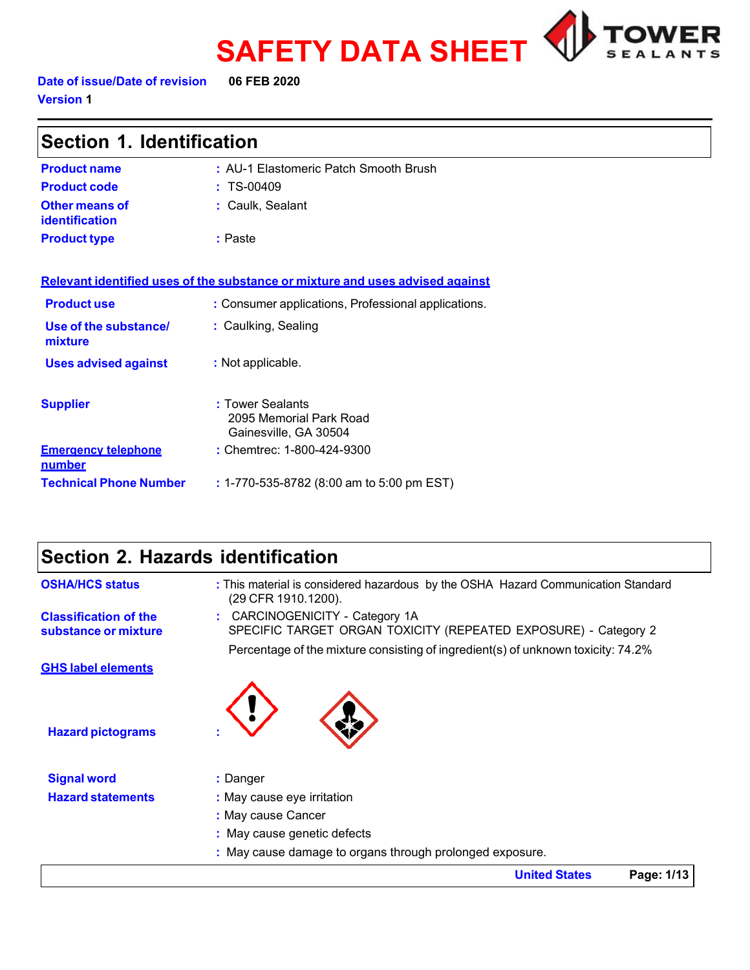



**Date of issue/Date of revision 06 FEB 2020 Version 1**

| Section 1. Identification               |                                                                               |  |  |
|-----------------------------------------|-------------------------------------------------------------------------------|--|--|
| <b>Product name</b>                     | : AU-1 Elastomeric Patch Smooth Brush                                         |  |  |
| <b>Product code</b>                     | $: TS-00409$                                                                  |  |  |
| Other means of<br><b>identification</b> | : Caulk, Sealant                                                              |  |  |
| <b>Product type</b>                     | : Paste                                                                       |  |  |
|                                         | Relevant identified uses of the substance or mixture and uses advised against |  |  |
| <b>Product use</b>                      | : Consumer applications, Professional applications.                           |  |  |
| Use of the substance/<br>mixture        | : Caulking, Sealing                                                           |  |  |
| <b>Uses advised against</b>             | : Not applicable.                                                             |  |  |
| <b>Supplier</b>                         | : Tower Sealants<br>2095 Memorial Park Road<br>Gainesville, GA 30504          |  |  |
| <b>Emergency telephone</b><br>number    | : Chemtrec: 1-800-424-9300                                                    |  |  |
| <b>Technical Phone Number</b>           | : 1-770-535-8782 (8:00 am to 5:00 pm EST)                                     |  |  |

# **Section 2. Hazards identification**

| <b>OSHA/HCS status</b>                               | : This material is considered hazardous by the OSHA Hazard Communication Standard<br>(29 CFR 1910.1200).                                                                             |
|------------------------------------------------------|--------------------------------------------------------------------------------------------------------------------------------------------------------------------------------------|
| <b>Classification of the</b><br>substance or mixture | CARCINOGENICITY - Category 1A<br>SPECIFIC TARGET ORGAN TOXICITY (REPEATED EXPOSURE) - Category 2<br>Percentage of the mixture consisting of ingredient(s) of unknown toxicity: 74.2% |
| <b>GHS label elements</b>                            |                                                                                                                                                                                      |
| <b>Hazard pictograms</b>                             |                                                                                                                                                                                      |
| <b>Signal word</b>                                   | : Danger                                                                                                                                                                             |
| <b>Hazard statements</b>                             | : May cause eye irritation                                                                                                                                                           |
|                                                      | : May cause Cancer                                                                                                                                                                   |
|                                                      | : May cause genetic defects                                                                                                                                                          |
|                                                      | : May cause damage to organs through prolonged exposure.                                                                                                                             |
|                                                      | <b>United States</b><br>Page: 1/13                                                                                                                                                   |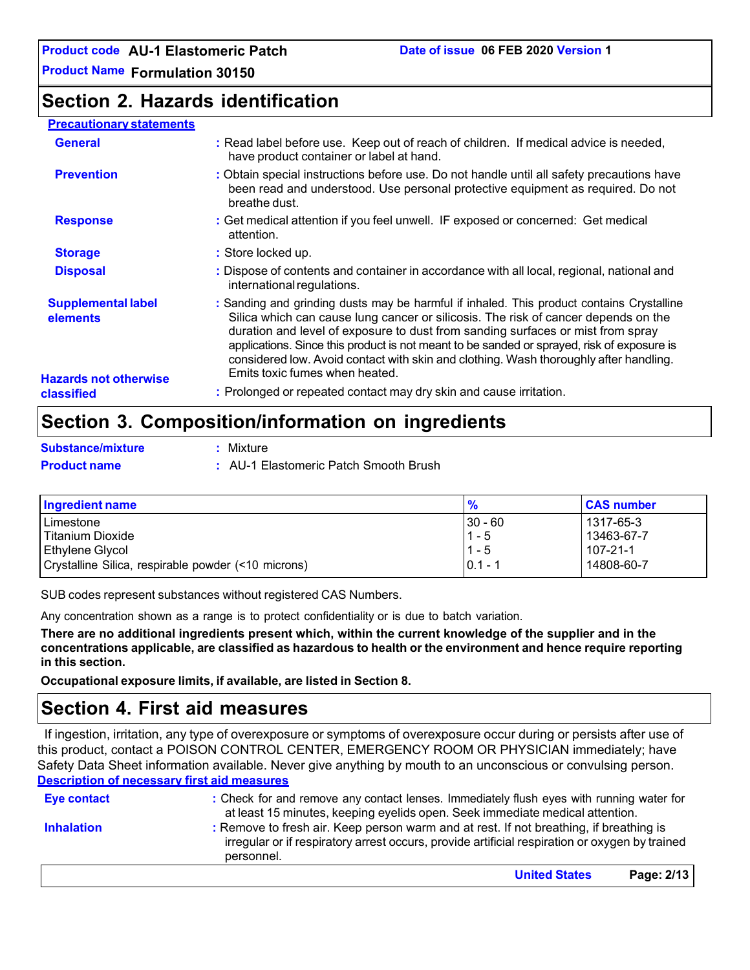**Product Name Formulation 30150**

# **Section 2. Hazards identification**

#### **Precautionary statements**

| <b>General</b>                             | : Read label before use. Keep out of reach of children. If medical advice is needed,<br>have product container or label at hand.                                                                                                                                                                                                                                                                                                                                                            |
|--------------------------------------------|---------------------------------------------------------------------------------------------------------------------------------------------------------------------------------------------------------------------------------------------------------------------------------------------------------------------------------------------------------------------------------------------------------------------------------------------------------------------------------------------|
| <b>Prevention</b>                          | : Obtain special instructions before use. Do not handle until all safety precautions have<br>been read and understood. Use personal protective equipment as required. Do not<br>breathe dust.                                                                                                                                                                                                                                                                                               |
| <b>Response</b>                            | : Get medical attention if you feel unwell. IF exposed or concerned: Get medical<br>attention.                                                                                                                                                                                                                                                                                                                                                                                              |
| <b>Storage</b>                             | : Store locked up.                                                                                                                                                                                                                                                                                                                                                                                                                                                                          |
| <b>Disposal</b>                            | : Dispose of contents and container in accordance with all local, regional, national and<br>international regulations.                                                                                                                                                                                                                                                                                                                                                                      |
| <b>Supplemental label</b><br>elements      | : Sanding and grinding dusts may be harmful if inhaled. This product contains Crystalline<br>Silica which can cause lung cancer or silicosis. The risk of cancer depends on the<br>duration and level of exposure to dust from sanding surfaces or mist from spray<br>applications. Since this product is not meant to be sanded or sprayed, risk of exposure is<br>considered low. Avoid contact with skin and clothing. Wash thoroughly after handling.<br>Emits toxic fumes when heated. |
| <b>Hazards not otherwise</b><br>classified | : Prolonged or repeated contact may dry skin and cause irritation.                                                                                                                                                                                                                                                                                                                                                                                                                          |

# **Section 3. Composition/information on ingredients**

|  |   |  | Substance/mixture |  |
|--|---|--|-------------------|--|
|  | . |  |                   |  |

**:** Mixture

**Product name :** AU-1 Elastomeric Patch Smooth Brush

| Ingredient name                                     | $\frac{9}{6}$ | <b>CAS number</b> |
|-----------------------------------------------------|---------------|-------------------|
| Limestone                                           | $ 30 - 60 $   | 1317-65-3         |
| l Titanium Dioxide                                  | $1 - 5$       | 13463-67-7        |
| l Ethvlene Glvcol                                   | $1 - 5$       | $107 - 21 - 1$    |
| Crystalline Silica, respirable powder (<10 microns) | $0.1 - 1$     | 14808-60-7        |

SUB codes represent substances without registered CAS Numbers.

Any concentration shown as a range is to protect confidentiality or is due to batch variation.

**There are no additional ingredients present which, within the current knowledge of the supplier and in the concentrations applicable, are classified as hazardous to health or the environment and hence require reporting in this section.**

**Occupational exposure limits, if available, are listed in Section 8.**

# **Section 4. First aid measures**

If ingestion, irritation, any type of overexposure or symptoms of overexposure occur during or persists after use of this product, contact a POISON CONTROL CENTER, EMERGENCY ROOM OR PHYSICIAN immediately; have Safety Data Sheet information available. Never give anything by mouth to an unconscious or convulsing person. **Description of necessary first aid measures**

| Eye contact       | : Check for and remove any contact lenses. Immediately flush eyes with running water for<br>at least 15 minutes, keeping eyelids open. Seek immediate medical attention.                               |            |
|-------------------|--------------------------------------------------------------------------------------------------------------------------------------------------------------------------------------------------------|------------|
| <b>Inhalation</b> | : Remove to fresh air. Keep person warm and at rest. If not breathing, if breathing is<br>irregular or if respiratory arrest occurs, provide artificial respiration or oxygen by trained<br>personnel. |            |
|                   | <b>United States</b>                                                                                                                                                                                   | Page: 2/13 |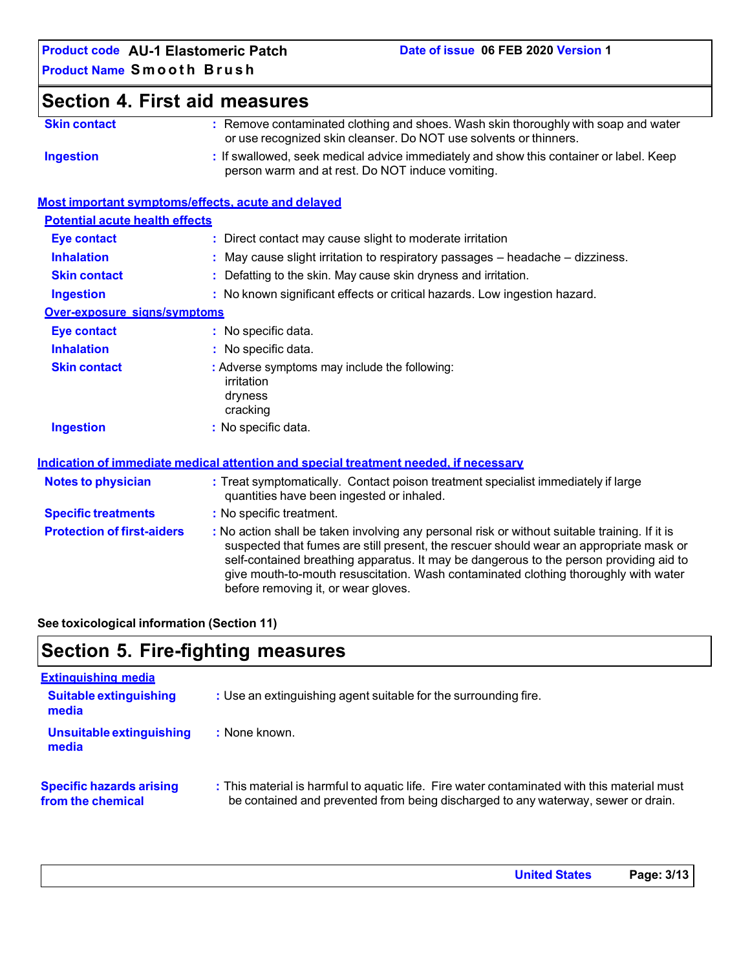**Skin contact :** Remove contaminated clothing and shoes. Wash skin thoroughly with soap and water or use recognized skin cleanser. Do NOT use solvents or thinners. **Ingestion :** If swallowed, seek medical advice immediately and show this container or label. Keep person warm and at rest. Do NOT induce vomiting. **Most important symptoms/effects, acute and delayed Potential acute health effects Eye contact :** Direct contact may cause slight to moderate irritation **Inhalation : Skin contact :** May cause slight irritation to respiratory passages – headache – dizziness. Defatting to the skin. May cause skin dryness and irritation. **Ingestion :** No known significant effects or critical hazards. Low ingestion hazard. **Over-exposure signs/symptoms Eye contact :** No specific data. **Inhalation Skin contact Ingestion :** No specific data. **:** Adverse symptoms may include the following: irritation dryness cracking **:** No specific data. **Indication of immediate medical attention and special treatment needed, if necessary Notes to physician :** Treat symptomatically. Contact poison treatment specialist immediately if large quantities have been ingested or inhaled. **Specific treatments :** No specific treatment. **Protection of first-aiders :** No action shall be taken involving any personal risk or without suitable training. If it is suspected that fumes are still present, the rescuer should wear an appropriate mask or self-contained breathing apparatus. It may be dangerous to the person providing aid to give mouth-to-mouth resuscitation. Wash contaminated clothing thoroughly with water before removing it, or wear gloves. **Section 4. First aid measures**

#### **See toxicological information (Section 11)**

# **Section 5. Fire-fighting measures**

| <b>Extinguishing media</b>                           |                                                                                                                                                                                  |
|------------------------------------------------------|----------------------------------------------------------------------------------------------------------------------------------------------------------------------------------|
| <b>Suitable extinguishing</b><br>media               | : Use an extinguishing agent suitable for the surrounding fire.                                                                                                                  |
| Unsuitable extinguishing<br>media                    | : None known.                                                                                                                                                                    |
| <b>Specific hazards arising</b><br>from the chemical | : This material is harmful to aquatic life. Fire water contaminated with this material must<br>be contained and prevented from being discharged to any waterway, sewer or drain. |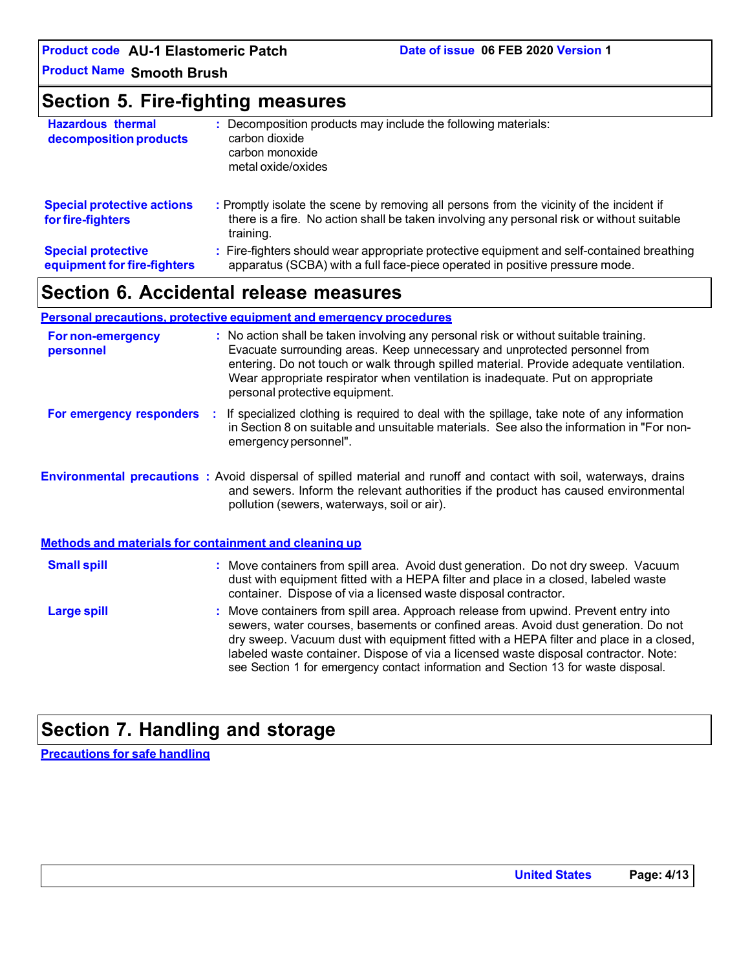**Product Name Smooth Brush**

# **Section 5. Fire-fighting measures**

| <b>Hazardous thermal</b><br>decomposition products       | : Decomposition products may include the following materials:<br>carbon dioxide<br>carbon monoxide<br>metal oxide/oxides                                                                            |
|----------------------------------------------------------|-----------------------------------------------------------------------------------------------------------------------------------------------------------------------------------------------------|
| <b>Special protective actions</b><br>for fire-fighters   | : Promptly isolate the scene by removing all persons from the vicinity of the incident if<br>there is a fire. No action shall be taken involving any personal risk or without suitable<br>training. |
| <b>Special protective</b><br>equipment for fire-fighters | : Fire-fighters should wear appropriate protective equipment and self-contained breathing<br>apparatus (SCBA) with a full face-piece operated in positive pressure mode.                            |

# **Section 6. Accidental release measures**

#### **Personal precautions, protective equipment and emergency procedures**

| <b>For non-emergency</b><br>personnel | : No action shall be taken involving any personal risk or without suitable training.<br>Evacuate surrounding areas. Keep unnecessary and unprotected personnel from<br>entering. Do not touch or walk through spilled material. Provide adequate ventilation.<br>Wear appropriate respirator when ventilation is inadequate. Put on appropriate<br>personal protective equipment.                                                               |
|---------------------------------------|-------------------------------------------------------------------------------------------------------------------------------------------------------------------------------------------------------------------------------------------------------------------------------------------------------------------------------------------------------------------------------------------------------------------------------------------------|
| For emergency responders :            | If specialized clothing is required to deal with the spillage, take note of any information<br>in Section 8 on suitable and unsuitable materials. See also the information in "For non-<br>emergency personnel".                                                                                                                                                                                                                                |
|                                       | Environmental precautions : Avoid dispersal of spilled material and runoff and contact with soil, waterways, drains<br>and sewers. Inform the relevant authorities if the product has caused environmental<br>pollution (sewers, waterways, soil or air).                                                                                                                                                                                       |
|                                       | Methods and materials for containment and cleaning up                                                                                                                                                                                                                                                                                                                                                                                           |
| <b>Small spill</b>                    | : Move containers from spill area. Avoid dust generation. Do not dry sweep. Vacuum<br>dust with equipment fitted with a HEPA filter and place in a closed, labeled waste<br>container. Dispose of via a licensed waste disposal contractor.                                                                                                                                                                                                     |
| <b>Large spill</b>                    | : Move containers from spill area. Approach release from upwind. Prevent entry into<br>sewers, water courses, basements or confined areas. Avoid dust generation. Do not<br>dry sweep. Vacuum dust with equipment fitted with a HEPA filter and place in a closed,<br>labeled waste container. Dispose of via a licensed waste disposal contractor. Note:<br>see Section 1 for emergency contact information and Section 13 for waste disposal. |

# **Section 7. Handling and storage**

**Precautions for safe handling**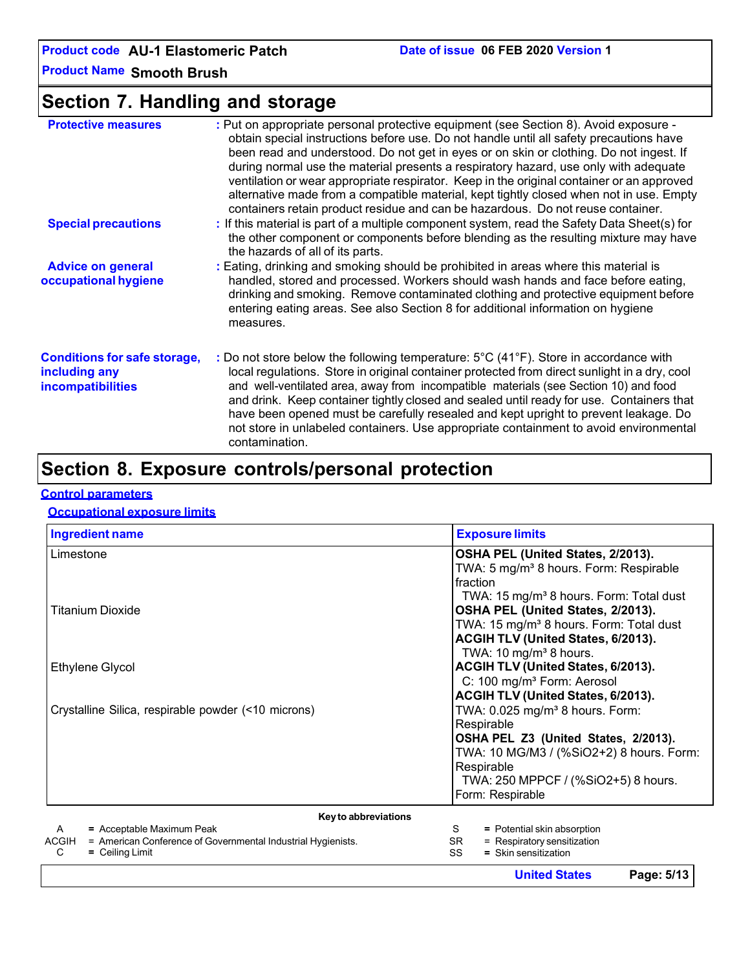**Product Name Smooth Brush**

# **Section 7. Handling and storage**

| <b>Protective measures</b>                                                       | : Put on appropriate personal protective equipment (see Section 8). Avoid exposure -<br>obtain special instructions before use. Do not handle until all safety precautions have<br>been read and understood. Do not get in eyes or on skin or clothing. Do not ingest. If<br>during normal use the material presents a respiratory hazard, use only with adequate<br>ventilation or wear appropriate respirator. Keep in the original container or an approved<br>alternative made from a compatible material, kept tightly closed when not in use. Empty<br>containers retain product residue and can be hazardous. Do not reuse container. |
|----------------------------------------------------------------------------------|----------------------------------------------------------------------------------------------------------------------------------------------------------------------------------------------------------------------------------------------------------------------------------------------------------------------------------------------------------------------------------------------------------------------------------------------------------------------------------------------------------------------------------------------------------------------------------------------------------------------------------------------|
| <b>Special precautions</b>                                                       | : If this material is part of a multiple component system, read the Safety Data Sheet(s) for<br>the other component or components before blending as the resulting mixture may have<br>the hazards of all of its parts.                                                                                                                                                                                                                                                                                                                                                                                                                      |
| <b>Advice on general</b><br>occupational hygiene                                 | : Eating, drinking and smoking should be prohibited in areas where this material is<br>handled, stored and processed. Workers should wash hands and face before eating,<br>drinking and smoking. Remove contaminated clothing and protective equipment before<br>entering eating areas. See also Section 8 for additional information on hygiene<br>measures.                                                                                                                                                                                                                                                                                |
| <b>Conditions for safe storage,</b><br>including any<br><b>incompatibilities</b> | : Do not store below the following temperature: 5°C (41°F). Store in accordance with<br>local regulations. Store in original container protected from direct sunlight in a dry, cool<br>and well-ventilated area, away from incompatible materials (see Section 10) and food<br>and drink. Keep container tightly closed and sealed until ready for use. Containers that<br>have been opened must be carefully resealed and kept upright to prevent leakage. Do<br>not store in unlabeled containers. Use appropriate containment to avoid environmental<br>contamination.                                                                   |

# **Section 8. Exposure controls/personal protection**

#### **Control parameters**

#### **Occupational exposure limits**

| <b>Ingredient name</b>                                                                                                            | <b>Exposure limits</b>                                                                                                                          |
|-----------------------------------------------------------------------------------------------------------------------------------|-------------------------------------------------------------------------------------------------------------------------------------------------|
| Limestone                                                                                                                         | OSHA PEL (United States, 2/2013).<br>TWA: 5 mg/m <sup>3</sup> 8 hours. Form: Respirable<br>fraction                                             |
| Titanium Dioxide                                                                                                                  | TWA: 15 mg/m <sup>3</sup> 8 hours. Form: Total dust<br>OSHA PEL (United States, 2/2013).<br>TWA: 15 mg/m <sup>3</sup> 8 hours. Form: Total dust |
| Ethylene Glycol                                                                                                                   | ACGIH TLV (United States, 6/2013).<br>TWA: 10 mg/m <sup>3</sup> 8 hours.<br>ACGIH TLV (United States, 6/2013).                                  |
|                                                                                                                                   | C: 100 mg/m <sup>3</sup> Form: Aerosol<br>ACGIH TLV (United States, 6/2013).                                                                    |
| Crystalline Silica, respirable powder (<10 microns)                                                                               | TWA: 0.025 mg/m <sup>3</sup> 8 hours. Form:<br>Respirable                                                                                       |
|                                                                                                                                   | OSHA PEL Z3 (United States, 2/2013).<br>TWA: 10 MG/M3 / (%SiO2+2) 8 hours. Form:<br>Respirable                                                  |
|                                                                                                                                   | TWA: 250 MPPCF / (%SiO2+5) 8 hours.<br>Form: Respirable                                                                                         |
| Key to abbreviations                                                                                                              |                                                                                                                                                 |
| = Acceptable Maximum Peak<br>A<br>ACGIH<br>= American Conference of Governmental Industrial Hygienists.<br>C<br>$=$ Ceiling Limit | S<br>= Potential skin absorption<br>= Respiratory sensitization<br>SR.<br>SS<br>= Skin sensitization                                            |

**United States Page: 5/13**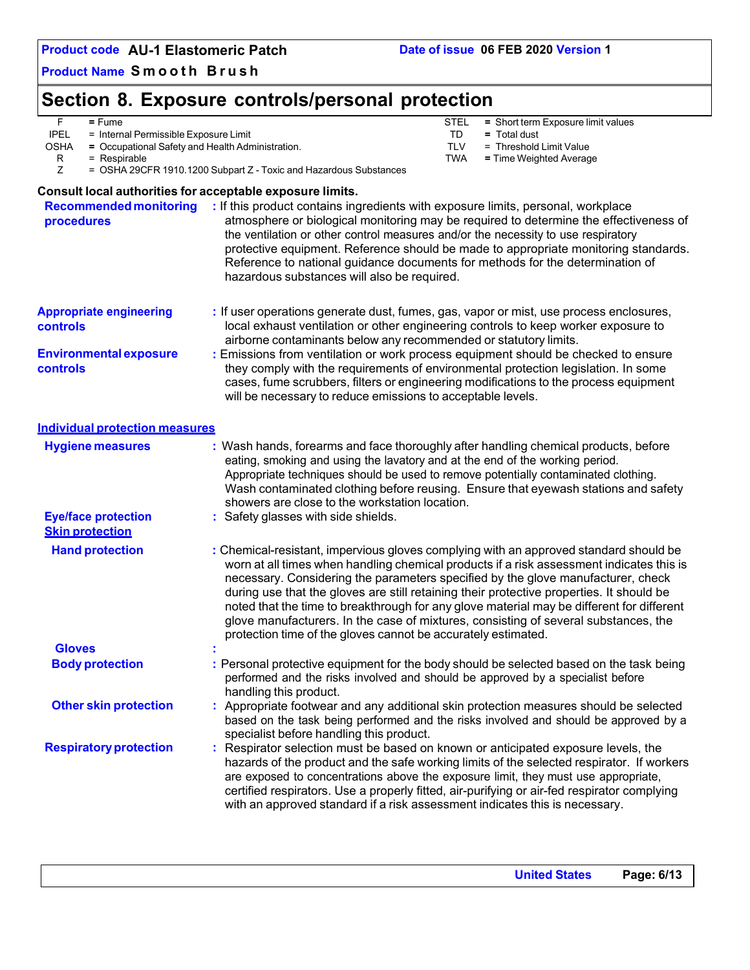**Product Name Smooth Brush**

# **Section 8. Exposure controls/personal protection**

|             | ∙ume<br>=                             | <b>STEL</b> | = Short term Exposure limit values |
|-------------|---------------------------------------|-------------|------------------------------------|
| <b>IPEL</b> | = Internal Permissible Exposure Limit |             | i otal dust<br>=                   |

OSHA **=** Occupational Safety and Health Administration. TLV = Threshold Limit Value

- R = Respirable TWA **=** Time Weighted Average
- Z = OSHA 29CFR 1910.1200 Subpart Z Toxic and Hazardous Substances

#### **Consult local authorities for acceptable exposure limits.**

**Recommended monitoring procedures :** If this product contains ingredients with exposure limits, personal, workplace atmosphere or biological monitoring may be required to determine the effectiveness of the ventilation or other control measures and/or the necessity to use respiratory protective equipment. Reference should be made to appropriate monitoring standards. Reference to national guidance documents for methods for the determination of hazardous substances will also be required. **Appropriate engineering controls Environmental exposure controls :** If user operations generate dust, fumes, gas, vapor or mist, use process enclosures, local exhaust ventilation or other engineering controls to keep worker exposure to airborne contaminants below any recommended or statutory limits. **:** Emissions from ventilation or work process equipment should be checked to ensure they comply with the requirements of environmental protection legislation. In some cases, fume scrubbers, filters or engineering modifications to the process equipment will be necessary to reduce emissions to acceptable levels. **Individual protection measures Hygiene measures :** Wash hands, forearms and face thoroughly after handling chemical products, before eating, smoking and using the lavatory and at the end of the working period. Appropriate techniques should be used to remove potentially contaminated clothing. Wash contaminated clothing before reusing. Ensure that eyewash stations and safety showers are close to the workstation location. **Eye/face protection Skin protection Hand protection :** Safety glasses with side shields. **:** Chemical-resistant, impervious gloves complying with an approved standard should be worn at all times when handling chemical products if a risk assessment indicates this is necessary. Considering the parameters specified by the glove manufacturer, check during use that the gloves are still retaining their protective properties. It should be noted that the time to breakthrough for any glove material may be different for different glove manufacturers. In the case of mixtures, consisting of several substances, the protection time of the gloves cannot be accurately estimated. **Gloves : Body protection :** Personal protective equipment for the body should be selected based on the task being performed and the risks involved and should be approved by a specialist before handling this product. **Other skin protection : Respiratory protection** Appropriate footwear and any additional skin protection measures should be selected based on the task being performed and the risks involved and should be approved by a specialist before handling this product. Respirator selection must be based on known or anticipated exposure levels, the hazards of the product and the safe working limits of the selected respirator. If workers are exposed to concentrations above the exposure limit, they must use appropriate, certified respirators. Use a properly fitted, air-purifying or air-fed respirator complying with an approved standard if a risk assessment indicates this is necessary.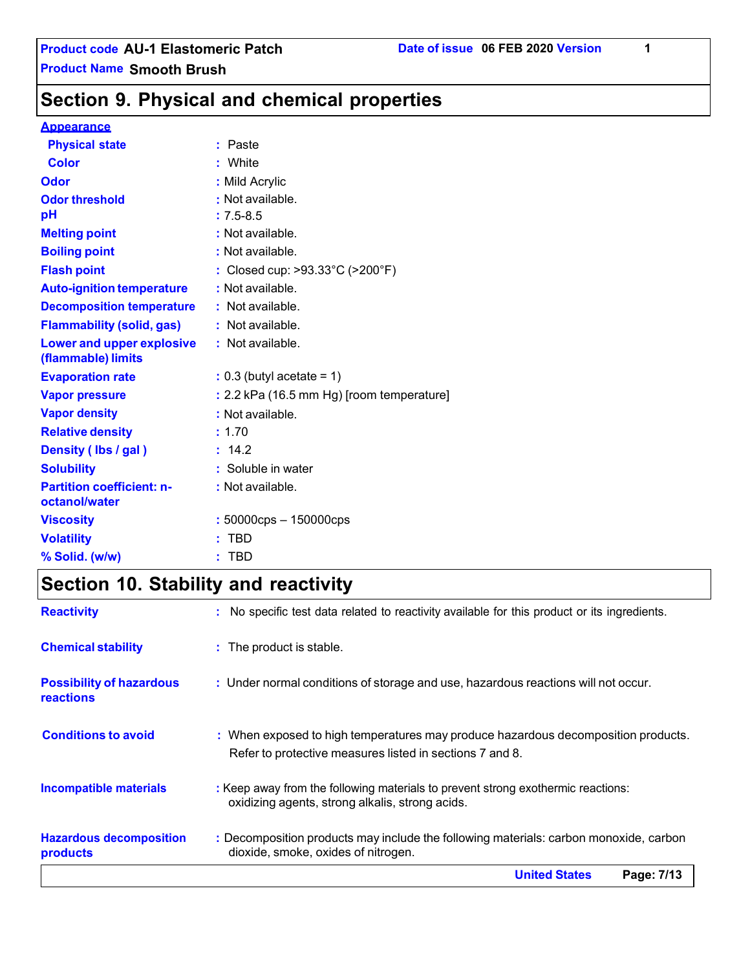**Section 9. Physical and chemical properties**

#### **Appearance**

| <b>Physical state</b>                                  | : Paste                                   |
|--------------------------------------------------------|-------------------------------------------|
| <b>Color</b>                                           | White                                     |
| Odor                                                   | : Mild Acrylic                            |
| <b>Odor threshold</b>                                  | : Not available.                          |
| pH                                                     | $: 7.5 - 8.5$                             |
| <b>Melting point</b>                                   | : Not available.                          |
| <b>Boiling point</b>                                   | : Not available.                          |
| <b>Flash point</b>                                     | : Closed cup: >93.33°C (>200°F)           |
| <b>Auto-ignition temperature</b>                       | : Not available.                          |
| <b>Decomposition temperature</b>                       | $:$ Not available.                        |
| <b>Flammability (solid, gas)</b>                       | : Not available.                          |
| <b>Lower and upper explosive</b><br>(flammable) limits | $:$ Not available.                        |
| <b>Evaporation rate</b>                                | $: 0.3$ (butyl acetate = 1)               |
| <b>Vapor pressure</b>                                  | : 2.2 kPa (16.5 mm Hg) [room temperature] |
| <b>Vapor density</b>                                   | : Not available.                          |
| <b>Relative density</b>                                | : 1.70                                    |
| Density (Ibs / gal)                                    | : 14.2                                    |
| <b>Solubility</b>                                      | : Soluble in water                        |
| <b>Partition coefficient: n-</b><br>octanol/water      | : Not available.                          |
| <b>Viscosity</b>                                       | $: 50000$ cps $- 150000$ cps              |
| <b>Volatility</b>                                      | <b>TBD</b>                                |
| % Solid. (w/w)                                         | <b>TBD</b>                                |
|                                                        |                                           |

# **Section 10. Stability and reactivity**

| <b>Reactivity</b>                                   | : No specific test data related to reactivity available for this product or its ingredients.                                                  |  |
|-----------------------------------------------------|-----------------------------------------------------------------------------------------------------------------------------------------------|--|
| <b>Chemical stability</b>                           | : The product is stable.                                                                                                                      |  |
| <b>Possibility of hazardous</b><br><b>reactions</b> | : Under normal conditions of storage and use, hazardous reactions will not occur.                                                             |  |
| <b>Conditions to avoid</b>                          | : When exposed to high temperatures may produce hazardous decomposition products.<br>Refer to protective measures listed in sections 7 and 8. |  |
| <b>Incompatible materials</b>                       | : Keep away from the following materials to prevent strong exothermic reactions:<br>oxidizing agents, strong alkalis, strong acids.           |  |
| <b>Hazardous decomposition</b><br>products          | : Decomposition products may include the following materials: carbon monoxide, carbon<br>dioxide, smoke, oxides of nitrogen.                  |  |
|                                                     | <b>United States</b><br>Page: 7/13                                                                                                            |  |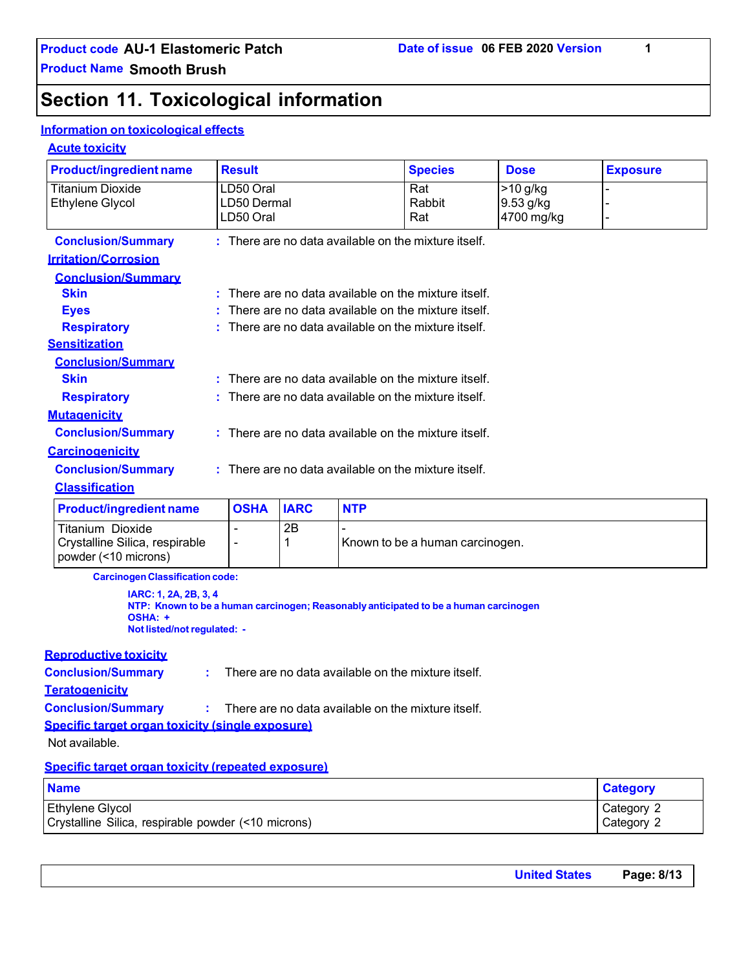# **Section 11. Toxicological information**

#### **Information on toxicological effects**

#### **Acute toxicity**

| <b>Product/ingredient name</b>                   | <b>Result</b> |             |            | <b>Species</b>                                                                       | <b>Dose</b> | <b>Exposure</b> |
|--------------------------------------------------|---------------|-------------|------------|--------------------------------------------------------------------------------------|-------------|-----------------|
| <b>Titanium Dioxide</b>                          | LD50 Oral     |             |            | Rat                                                                                  | $>10$ g/kg  |                 |
| <b>Ethylene Glycol</b>                           | LD50 Dermal   |             |            | Rabbit                                                                               | 9.53 g/kg   |                 |
|                                                  | LD50 Oral     |             |            | Rat                                                                                  | 4700 mg/kg  |                 |
| <b>Conclusion/Summary</b>                        |               |             |            | : There are no data available on the mixture itself.                                 |             |                 |
| <b>Irritation/Corrosion</b>                      |               |             |            |                                                                                      |             |                 |
| <b>Conclusion/Summary</b>                        |               |             |            |                                                                                      |             |                 |
| <b>Skin</b>                                      |               |             |            | There are no data available on the mixture itself.                                   |             |                 |
| <b>Eyes</b>                                      |               |             |            | There are no data available on the mixture itself.                                   |             |                 |
| <b>Respiratory</b>                               |               |             |            | There are no data available on the mixture itself.                                   |             |                 |
| <b>Sensitization</b>                             |               |             |            |                                                                                      |             |                 |
| <b>Conclusion/Summary</b>                        |               |             |            |                                                                                      |             |                 |
| <b>Skin</b>                                      |               |             |            | There are no data available on the mixture itself.                                   |             |                 |
| <b>Respiratory</b>                               |               |             |            | There are no data available on the mixture itself.                                   |             |                 |
| <b>Mutagenicity</b>                              |               |             |            |                                                                                      |             |                 |
| <b>Conclusion/Summary</b>                        |               |             |            | There are no data available on the mixture itself.                                   |             |                 |
| <b>Carcinogenicity</b>                           |               |             |            |                                                                                      |             |                 |
| <b>Conclusion/Summary</b>                        |               |             |            | There are no data available on the mixture itself.                                   |             |                 |
| <b>Classification</b>                            |               |             |            |                                                                                      |             |                 |
| <b>Product/ingredient name</b>                   | <b>OSHA</b>   | <b>IARC</b> | <b>NTP</b> |                                                                                      |             |                 |
| Titanium Dioxide                                 |               | 2B          |            |                                                                                      |             |                 |
| Crystalline Silica, respirable                   |               | 1           |            | Known to be a human carcinogen.                                                      |             |                 |
| powder (<10 microns)                             |               |             |            |                                                                                      |             |                 |
| <b>Carcinogen Classification code:</b>           |               |             |            |                                                                                      |             |                 |
| IARC: 1, 2A, 2B, 3, 4                            |               |             |            |                                                                                      |             |                 |
| OSHA: +                                          |               |             |            | NTP: Known to be a human carcinogen; Reasonably anticipated to be a human carcinogen |             |                 |
| Not listed/not regulated: -                      |               |             |            |                                                                                      |             |                 |
| <b>Reproductive toxicity</b>                     |               |             |            |                                                                                      |             |                 |
| <b>Conclusion/Summary</b><br>÷.                  |               |             |            | There are no data available on the mixture itself.                                   |             |                 |
| <b>Teratogenicity</b>                            |               |             |            |                                                                                      |             |                 |
| <b>Conclusion/Summary</b>                        |               |             |            | There are no data available on the mixture itself.                                   |             |                 |
| Specific target organ toxicity (single exposure) |               |             |            |                                                                                      |             |                 |
|                                                  |               |             |            |                                                                                      |             |                 |

Not available.

#### **Specific target organ toxicity (repeated exposure)**

| <b>Name</b>                                         | <b>Category</b> |
|-----------------------------------------------------|-----------------|
| Ethylene Glycol                                     | Category 2      |
| Crystalline Silica, respirable powder (<10 microns) | Category 2      |

| <b>United States</b> | Page: 8/13 |
|----------------------|------------|
|                      |            |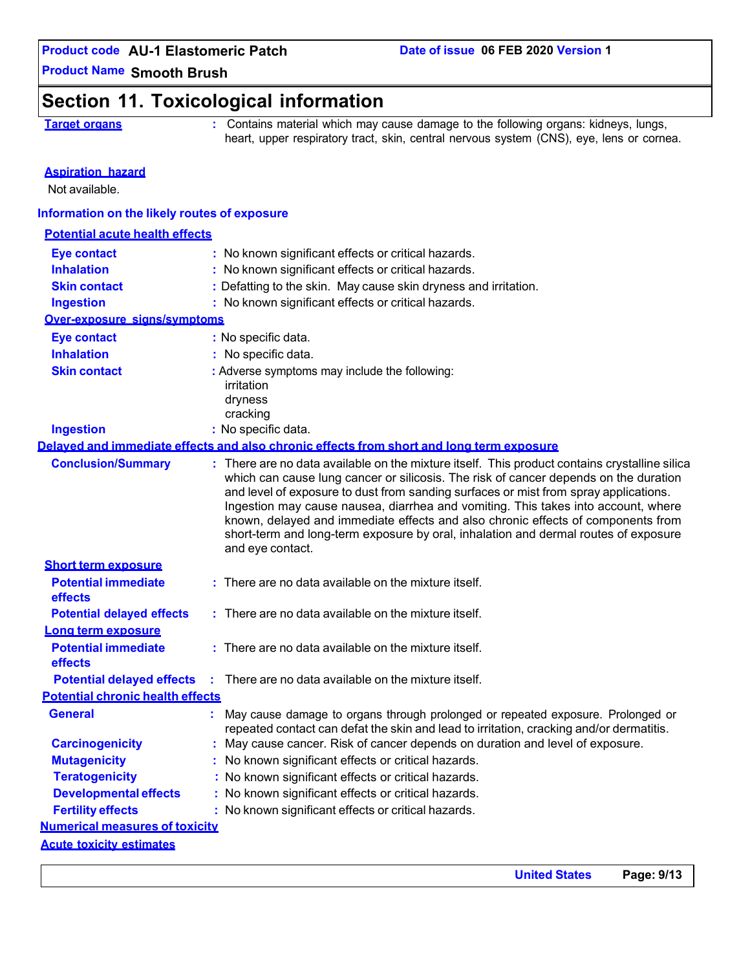**United States Page: 9/13**

**Product Name Smooth Brush**

## **Section 11. Toxicological information**

**Target organs :** Contains material which may cause damage to the following organs: kidneys, lungs, heart, upper respiratory tract, skin, central nervous system (CNS), eye, lens or cornea.

#### **Aspiration hazard**

Not available.

#### **Information on the likely routes of exposure**

| <b>Potential acute health effects</b>   |                                                                                                                                                                                                                                                                                                                                                                                                                                                                                                                                                                   |  |
|-----------------------------------------|-------------------------------------------------------------------------------------------------------------------------------------------------------------------------------------------------------------------------------------------------------------------------------------------------------------------------------------------------------------------------------------------------------------------------------------------------------------------------------------------------------------------------------------------------------------------|--|
| Eye contact                             | : No known significant effects or critical hazards.                                                                                                                                                                                                                                                                                                                                                                                                                                                                                                               |  |
| <b>Inhalation</b>                       | : No known significant effects or critical hazards.                                                                                                                                                                                                                                                                                                                                                                                                                                                                                                               |  |
| <b>Skin contact</b>                     | : Defatting to the skin. May cause skin dryness and irritation.                                                                                                                                                                                                                                                                                                                                                                                                                                                                                                   |  |
| <b>Ingestion</b>                        | : No known significant effects or critical hazards.                                                                                                                                                                                                                                                                                                                                                                                                                                                                                                               |  |
| Over-exposure signs/symptoms            |                                                                                                                                                                                                                                                                                                                                                                                                                                                                                                                                                                   |  |
| <b>Eye contact</b>                      | : No specific data.                                                                                                                                                                                                                                                                                                                                                                                                                                                                                                                                               |  |
| <b>Inhalation</b>                       | : No specific data.                                                                                                                                                                                                                                                                                                                                                                                                                                                                                                                                               |  |
| <b>Skin contact</b>                     | : Adverse symptoms may include the following:<br>irritation<br>dryness<br>cracking                                                                                                                                                                                                                                                                                                                                                                                                                                                                                |  |
| <b>Ingestion</b>                        | : No specific data.                                                                                                                                                                                                                                                                                                                                                                                                                                                                                                                                               |  |
|                                         | Delaved and immediate effects and also chronic effects from short and long term exposure                                                                                                                                                                                                                                                                                                                                                                                                                                                                          |  |
| <b>Conclusion/Summary</b>               | : There are no data available on the mixture itself. This product contains crystalline silica<br>which can cause lung cancer or silicosis. The risk of cancer depends on the duration<br>and level of exposure to dust from sanding surfaces or mist from spray applications.<br>Ingestion may cause nausea, diarrhea and vomiting. This takes into account, where<br>known, delayed and immediate effects and also chronic effects of components from<br>short-term and long-term exposure by oral, inhalation and dermal routes of exposure<br>and eye contact. |  |
| <b>Short term exposure</b>              |                                                                                                                                                                                                                                                                                                                                                                                                                                                                                                                                                                   |  |
| <b>Potential immediate</b><br>effects   | : There are no data available on the mixture itself.                                                                                                                                                                                                                                                                                                                                                                                                                                                                                                              |  |
| <b>Potential delayed effects</b>        | : There are no data available on the mixture itself.                                                                                                                                                                                                                                                                                                                                                                                                                                                                                                              |  |
| <u>Long term exposure</u>               |                                                                                                                                                                                                                                                                                                                                                                                                                                                                                                                                                                   |  |
| <b>Potential immediate</b><br>effects   | $:$ There are no data available on the mixture itself.                                                                                                                                                                                                                                                                                                                                                                                                                                                                                                            |  |
| <b>Potential delayed effects</b>        | : There are no data available on the mixture itself.                                                                                                                                                                                                                                                                                                                                                                                                                                                                                                              |  |
| <b>Potential chronic health effects</b> |                                                                                                                                                                                                                                                                                                                                                                                                                                                                                                                                                                   |  |
| <b>General</b>                          | May cause damage to organs through prolonged or repeated exposure. Prolonged or<br>repeated contact can defat the skin and lead to irritation, cracking and/or dermatitis.                                                                                                                                                                                                                                                                                                                                                                                        |  |
| <b>Carcinogenicity</b>                  | : May cause cancer. Risk of cancer depends on duration and level of exposure.                                                                                                                                                                                                                                                                                                                                                                                                                                                                                     |  |
| <b>Mutagenicity</b>                     | : No known significant effects or critical hazards.                                                                                                                                                                                                                                                                                                                                                                                                                                                                                                               |  |
| <b>Teratogenicity</b>                   | : No known significant effects or critical hazards.                                                                                                                                                                                                                                                                                                                                                                                                                                                                                                               |  |
| <b>Developmental effects</b>            | : No known significant effects or critical hazards.                                                                                                                                                                                                                                                                                                                                                                                                                                                                                                               |  |
| <b>Fertility effects</b>                | : No known significant effects or critical hazards.                                                                                                                                                                                                                                                                                                                                                                                                                                                                                                               |  |
| <b>Numerical measures of toxicity</b>   |                                                                                                                                                                                                                                                                                                                                                                                                                                                                                                                                                                   |  |
| <b>Acute toxicity estimates</b>         |                                                                                                                                                                                                                                                                                                                                                                                                                                                                                                                                                                   |  |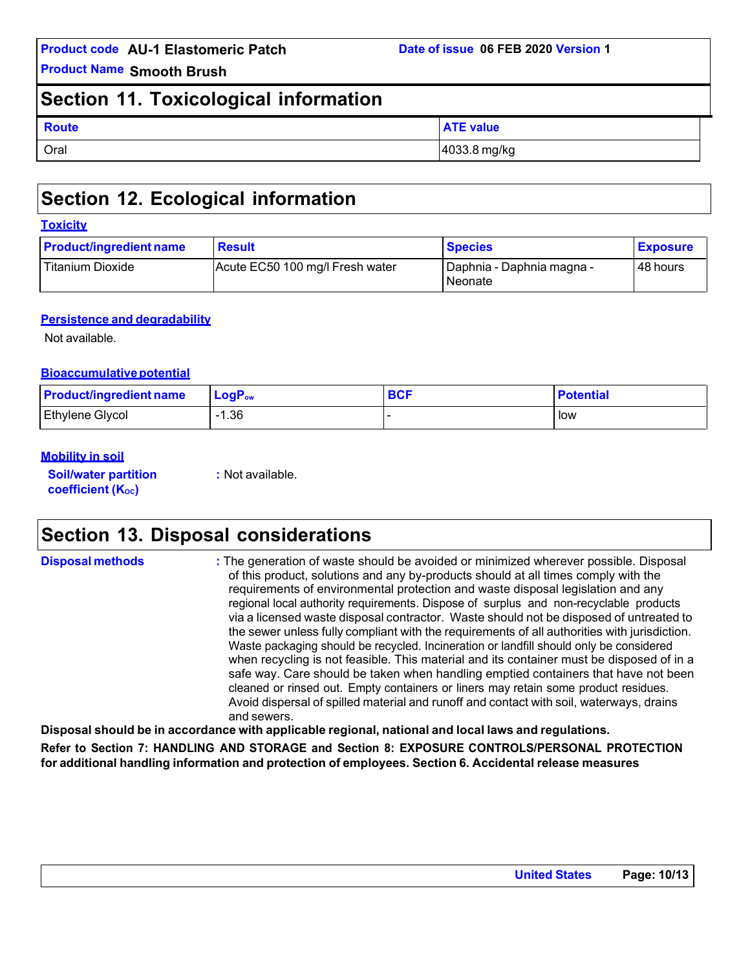**Product Name Smooth Brush**

# **Section 11. Toxicological information**

| <b>Route</b> | <b>ATE value</b> |
|--------------|------------------|
| Oral         | 4033.8 mg/kg     |

# **Section 12. Ecological information**

#### **Toxicity**

| <b>Product/ingredient name</b> | <b>Result</b>                   | <b>Species</b>                           | <b>Exposure</b> |
|--------------------------------|---------------------------------|------------------------------------------|-----------------|
| Titanium Dioxide               | Acute EC50 100 mg/l Fresh water | I Daphnia - Daphnia magna -<br>l Neonate | 48 hours        |

#### **Persistence and degradability**

Not available.

#### **Bioaccumulative potential**

| <b>Product/ingredient name</b> | $\mathsf{LogP}_\mathsf{ow}$ | <b>BCF</b> | <b>Potential</b> |
|--------------------------------|-----------------------------|------------|------------------|
| <b>Ethylene Glycol</b>         | $-1.36$                     |            | low              |

#### **Mobility in soil**

**Soil/water partition coefficient** (K<sub>oc</sub>)

**:** Not available.

# **Section 13. Disposal considerations**

| <b>Disposal methods</b> | : The generation of waste should be avoided or minimized wherever possible. Disposal<br>of this product, solutions and any by-products should at all times comply with the<br>requirements of environmental protection and waste disposal legislation and any<br>regional local authority requirements. Dispose of surplus and non-recyclable products<br>via a licensed waste disposal contractor. Waste should not be disposed of untreated to<br>the sewer unless fully compliant with the requirements of all authorities with jurisdiction.<br>Waste packaging should be recycled. Incineration or landfill should only be considered<br>when recycling is not feasible. This material and its container must be disposed of in a<br>safe way. Care should be taken when handling emptied containers that have not been<br>cleaned or rinsed out. Empty containers or liners may retain some product residues.<br>Avoid dispersal of spilled material and runoff and contact with soil, waterways, drains |
|-------------------------|----------------------------------------------------------------------------------------------------------------------------------------------------------------------------------------------------------------------------------------------------------------------------------------------------------------------------------------------------------------------------------------------------------------------------------------------------------------------------------------------------------------------------------------------------------------------------------------------------------------------------------------------------------------------------------------------------------------------------------------------------------------------------------------------------------------------------------------------------------------------------------------------------------------------------------------------------------------------------------------------------------------|
|                         | and sewers.                                                                                                                                                                                                                                                                                                                                                                                                                                                                                                                                                                                                                                                                                                                                                                                                                                                                                                                                                                                                    |

**Disposal should be in accordance with applicable regional, national and local laws and regulations.**

**Refer to Section 7: HANDLING AND STORAGE and Section 8: EXPOSURE CONTROLS/PERSONAL PROTECTION for additional handling information and protection of employees. Section 6. Accidental release measures**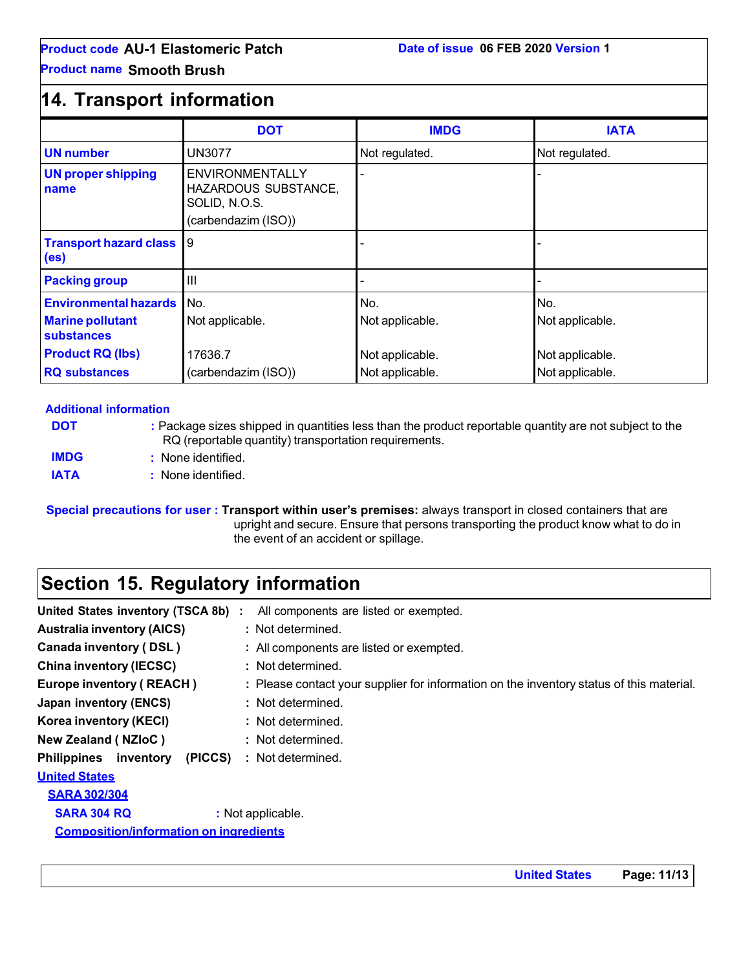### **Product name Smooth Brush**

# **14. Transport information**

|                                                                              | <b>DOT</b>                                                                             | <b>IMDG</b>                        | <b>IATA</b>                        |
|------------------------------------------------------------------------------|----------------------------------------------------------------------------------------|------------------------------------|------------------------------------|
| <b>UN number</b>                                                             | UN3077                                                                                 | Not regulated.                     | Not regulated.                     |
| <b>UN proper shipping</b><br>name                                            | <b>ENVIRONMENTALLY</b><br>HAZARDOUS SUBSTANCE,<br>SOLID, N.O.S.<br>(carbendazim (ISO)) |                                    |                                    |
| <b>Transport hazard class</b><br>(es)                                        | 9                                                                                      |                                    |                                    |
| <b>Packing group</b>                                                         | Ш                                                                                      |                                    |                                    |
| <b>Environmental hazards</b><br><b>Marine pollutant</b><br><b>substances</b> | No.<br>Not applicable.                                                                 | No.<br>Not applicable.             | No.<br>Not applicable.             |
| <b>Product RQ (lbs)</b><br><b>RQ substances</b>                              | 17636.7<br>(carbendazim (ISO))                                                         | Not applicable.<br>Not applicable. | Not applicable.<br>Not applicable. |

#### **Additional information**

**DOT :** Package sizes shipped in quantities less than the product reportable quantity are not subject to the RQ (reportable quantity) transportation requirements.

**IMDG :** None identified.

**IATA :** None identified.

**Special precautions for user : Transport within user's premises:** always transport in closed containers that are upright and secure. Ensure that persons transporting the product know what to do in the event of an accident or spillage.

# **Section 15. Regulatory information**

| United States inventory (TSCA 8b) :           | All components are listed or exempted.                                                   |
|-----------------------------------------------|------------------------------------------------------------------------------------------|
| <b>Australia inventory (AICS)</b>             | : Not determined.                                                                        |
| <b>Canada inventory (DSL)</b>                 | : All components are listed or exempted.                                                 |
| <b>China inventory (IECSC)</b>                | : Not determined.                                                                        |
| <b>Europe inventory (REACH)</b>               | : Please contact your supplier for information on the inventory status of this material. |
| Japan inventory (ENCS)                        | : Not determined.                                                                        |
| Korea inventory (KECI)                        | : Not determined.                                                                        |
| New Zealand (NZloC)                           | : Not determined.                                                                        |
| <b>Philippines</b> inventory<br>(PICCS)       | : Not determined.                                                                        |
| <b>United States</b>                          |                                                                                          |
| <b>SARA 302/304</b>                           |                                                                                          |
| <b>SARA 304 RQ</b>                            | : Not applicable.                                                                        |
| <b>Composition/information on ingredients</b> |                                                                                          |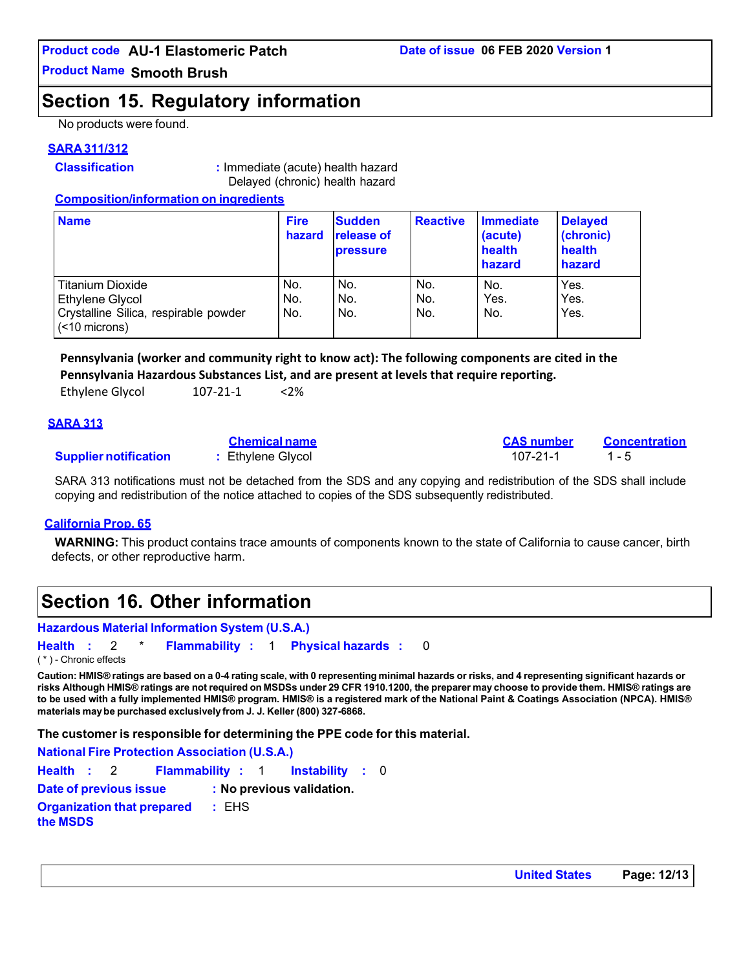**Product Name Smooth Brush**

# **Section 15. Regulatory information**

No products were found.

#### **SARA 311/312**

**Classification :** Immediate (acute) health hazard Delayed (chronic) health hazard

#### **Composition/information on ingredients**

| <b>Name</b>                                                                                             | <b>Fire</b><br>hazard | <b>Sudden</b><br><b>release of</b><br><b>pressure</b> | <b>Reactive</b>   | <b>Immediate</b><br>(acute)<br>health<br>hazard | <b>Delayed</b><br>(chronic)<br>health<br>hazard |
|---------------------------------------------------------------------------------------------------------|-----------------------|-------------------------------------------------------|-------------------|-------------------------------------------------|-------------------------------------------------|
| <b>Titanium Dioxide</b><br>Ethylene Glycol<br>Crystalline Silica, respirable powder<br>$(< 10$ microns) | No.<br>No.<br>No.     | No.<br>No.<br>No.                                     | No.<br>No.<br>No. | No.<br>Yes.<br>No.                              | Yes.<br>Yes.<br>Yes.                            |

**Pennsylvania (worker and community right to know act): The following components are cited in the Pennsylvania Hazardous Substances List, and are present at levels that require reporting.**

|  | <b>Ethylene Glycol</b> | 107-21-1 | $<$ 2% |
|--|------------------------|----------|--------|
|--|------------------------|----------|--------|

#### **SARA 313**

|                              | <b>Chemical name</b> | <b>CAS number</b> | Concentration |
|------------------------------|----------------------|-------------------|---------------|
| <b>Supplier notification</b> | : Ethylene Glycol    | $107 - 21 - 1$    |               |

SARA 313 notifications must not be detached from the SDS and any copying and redistribution of the SDS shall include copying and redistribution of the notice attached to copies of the SDS subsequently redistributed.

#### **California Prop. 65**

**WARNING:** This product contains trace amounts of components known to the state of California to cause cancer, birth defects, or other reproductive harm.

# **Section 16. Other information**

### **Hazardous Material Information System (U.S.A.)**

**Health :** 2 \* **Flammability :** 1 **Physical hazards :** 0 ( \* ) - Chronic effects

Caution: HMIS® ratings are based on a 0-4 rating scale, with 0 representing minimal hazards or risks, and 4 representing significant hazards or risks Although HMIS® ratings are not required on MSDSs under 29 CFR 1910.1200, the preparer may choose to provide them. HMIS® ratings are **to be used with a fully implemented HMIS® program. HMIS® is a registered mark of the National Paint & Coatings Association (NPCA). HMIS® materials maybe purchased exclusively from J. J. Keller (800) 327-6868.**

**The customer is responsible for determining the PPE code for this material.**

**National Fire Protection Association (U.S.A.)**

```
Health : 2 Flammability : 1 Instability : 0
Date of previous issue : No previous validation.
Organization that prepared
the MSDS
                         : EHS
```